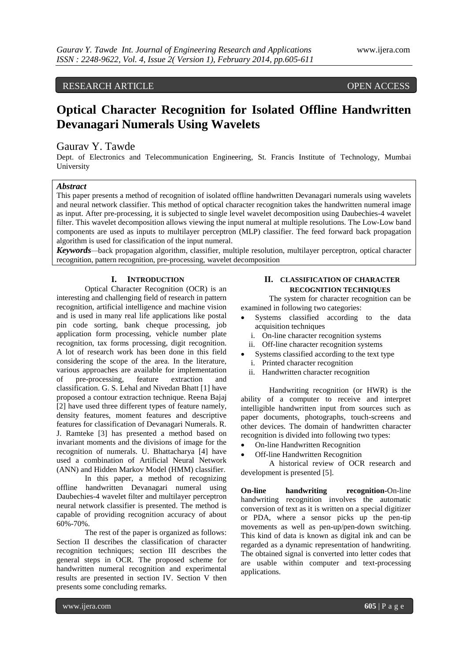# RESEARCH ARTICLE OPEN ACCESS

# **Optical Character Recognition for Isolated Offline Handwritten Devanagari Numerals Using Wavelets**

# Gaurav Y. Tawde

Dept. of Electronics and Telecommunication Engineering, St. Francis Institute of Technology, Mumbai University

# *Abstract*

This paper presents a method of recognition of isolated offline handwritten Devanagari numerals using wavelets and neural network classifier. This method of optical character recognition takes the handwritten numeral image as input. After pre-processing, it is subjected to single level wavelet decomposition using Daubechies-4 wavelet filter. This wavelet decomposition allows viewing the input numeral at multiple resolutions. The Low-Low band components are used as inputs to multilayer perceptron (MLP) classifier. The feed forward back propagation algorithm is used for classification of the input numeral.

*Keywords—*back propagation algorithm, classifier, multiple resolution, multilayer perceptron, optical character recognition, pattern recognition, pre-processing, wavelet decomposition

#### **I. INTRODUCTION**

Optical Character Recognition (OCR) is an interesting and challenging field of research in pattern recognition, artificial intelligence and machine vision and is used in many real life applications like postal pin code sorting, bank cheque processing, job application form processing, vehicle number plate recognition, tax forms processing, digit recognition. A lot of research work has been done in this field considering the scope of the area. In the literature, various approaches are available for implementation of pre-processing, feature extraction and classification. G. S. Lehal and Nivedan Bhatt [1] have proposed a contour extraction technique. Reena Bajaj [2] have used three different types of feature namely, density features, moment features and descriptive features for classification of Devanagari Numerals. R. J. Ramteke [3] has presented a method based on invariant moments and the divisions of image for the recognition of numerals. U. Bhattacharya [4] have used a combination of Artificial Neural Network (ANN) and Hidden Markov Model (HMM) classifier.

In this paper, a method of recognizing offline handwritten Devanagari numeral using Daubechies-4 wavelet filter and multilayer perceptron neural network classifier is presented. The method is capable of providing recognition accuracy of about 60%-70%.

The rest of the paper is organized as follows: Section II describes the classification of character recognition techniques; section III describes the general steps in OCR. The proposed scheme for handwritten numeral recognition and experimental results are presented in section IV. Section V then presents some concluding remarks.

# **II. CLASSIFICATION OF CHARACTER RECOGNITION TECHNIQUES**

The system for character recognition can be examined in following two categories:

- Systems classified according to the data acquisition techniques
	- i. On-line character recognition systems
- ii. Off-line character recognition systems
- Systems classified according to the text type
- i. Printed character recognition
- ii. Handwritten character recognition

Handwriting recognition (or HWR) is the ability of a computer to receive and interpret intelligible handwritten input from sources such as paper documents, photographs, touch-screens and other devices. The domain of handwritten character recognition is divided into following two types:

- On-line Handwritten Recognition
- Off-line Handwritten Recognition

A historical review of OCR research and development is presented [5].

**On-line handwriting recognition-**On-line handwriting recognition involves the automatic conversion of text as it is written on a special digitizer or PDA, where a sensor picks up the pen-tip movements as well as pen-up/pen-down switching. This kind of data is known as digital ink and can be regarded as a dynamic representation of handwriting. The obtained signal is converted into letter codes that are usable within computer and text-processing applications.

www.ijera.com **605** | P a g e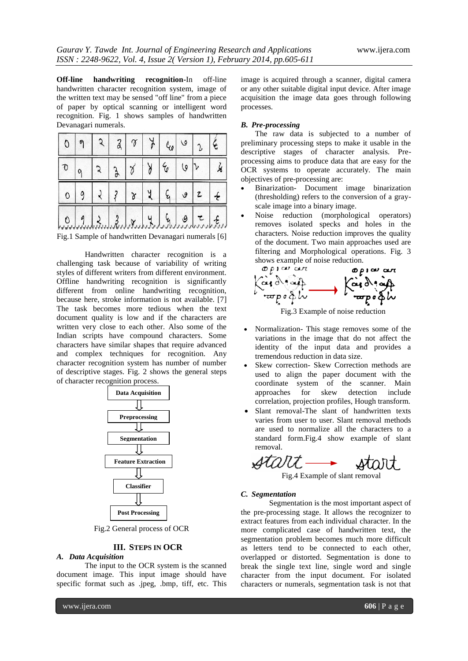**Off-line handwriting recognition-**In off-line handwritten character recognition system, image of the written text may be sensed "off line" from a piece of paper by optical scanning or intelligent word recognition. Fig. 1 shows samples of handwritten Devanagari numerals.

| $ 0\rangle$        | $\eta$         |              |              | 237 | $\frac{1}{2}$ | $\epsilon_{\rm e}$ | $\omega$                 | $\epsilon$                 |
|--------------------|----------------|--------------|--------------|-----|---------------|--------------------|--------------------------|----------------------------|
| $\sigma$           |                |              | $\mathbf{a}$ |     |               | $\epsilon$         | 10 <sup>1</sup>          |                            |
| $\overline{\circ}$ | $\overline{9}$ |              | 2   3        |     | $\frac{y}{x}$ |                    | $G \mid g$               |                            |
|                    | 0.9            | $3.81$ x 4 4 |              |     |               |                    | $\overline{\mathcal{Q}}$ | $\mathcal{F}_{\text{max}}$ |

Fig.1 Sample of handwritten Devanagari numerals [6]

Handwritten character recognition is a challenging task because of variability of writing styles of different writers from different environment. Offline handwriting recognition is significantly different from online handwriting recognition, because here, stroke information is not available. [7] The task becomes more tedious when the text document quality is low and if the characters are written very close to each other. Also some of the Indian scripts have compound characters. Some characters have similar shapes that require advanced and complex techniques for recognition. Any character recognition system has number of number of descriptive stages. Fig. 2 shows the general steps of character recognition process.



Fig.2 General process of OCR

# **III. STEPS IN OCR**

# *A. Data Acquisition*

The input to the OCR system is the scanned document image. This input image should have specific format such as .jpeg, .bmp, tiff, etc. This

image is acquired through a scanner, digital camera or any other suitable digital input device. After image acquisition the image data goes through following processes.

#### *B. Pre-processing*

The raw data is subjected to a number of preliminary processing steps to make it usable in the descriptive stages of character analysis. Preprocessing aims to produce data that are easy for the OCR systems to operate accurately. The main objectives of pre-processing are:

- Binarization- Document image binarization (thresholding) refers to the conversion of a grayscale image into a binary image.
- Noise reduction (morphological operators) removes isolated specks and holes in the characters. Noise reduction improves the quality of the document. Two main approaches used are filtering and Morphological operations. Fig. 3



Fig.3 Example of noise reduction

- Normalization- This stage removes some of the variations in the image that do not affect the identity of the input data and provides a tremendous reduction in data size.
- Skew correction- Skew Correction methods are used to align the paper document with the coordinate system of the scanner. Main approaches for skew detection include correlation, projection profiles, Hough transform.
- Slant removal-The slant of handwritten texts varies from user to user. Slant removal methods are used to normalize all the characters to a standard form.Fig.4 show example of slant removal.

Fig.4 Example of slant removal

#### *C. Segmentation*

Segmentation is the most important aspect of the pre-processing stage. It allows the recognizer to extract features from each individual character. In the more complicated case of handwritten text, the segmentation problem becomes much more difficult as letters tend to be connected to each other, overlapped or distorted. Segmentation is done to break the single text line, single word and single character from the input document. For isolated characters or numerals, segmentation task is not that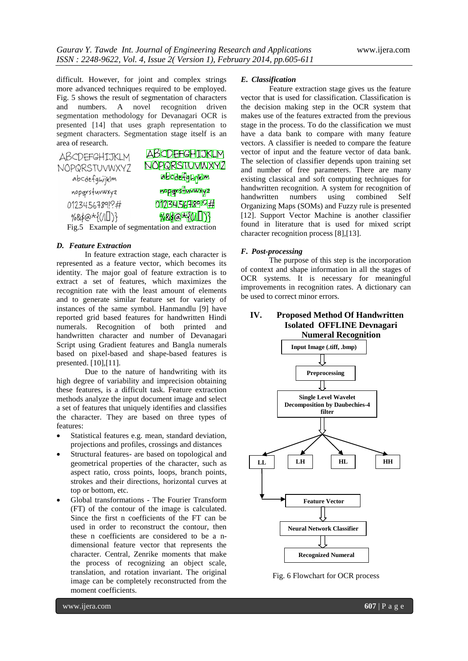difficult. However, for joint and complex strings more advanced techniques required to be employed. Fig. 5 shows the result of segmentation of characters and numbers. A novel recognition driven segmentation methodology for Devanagari OCR is presented [14] that uses graph representation to segment characters. Segmentation stage itself is an area of research.



# Fig.5 Example of segmentation and extraction

#### *D. Feature Extraction*

In feature extraction stage, each character is represented as a feature vector, which becomes its identity. The major goal of feature extraction is to extract a set of features, which maximizes the recognition rate with the least amount of elements and to generate similar feature set for variety of instances of the same symbol. Hanmandlu [9] have reported grid based features for handwritten Hindi numerals. Recognition of both printed and handwritten character and number of Devanagari Script using Gradient features and Bangla numerals based on pixel-based and shape-based features is presented. [10],[11].

Due to the nature of handwriting with its high degree of variability and imprecision obtaining these features, is a difficult task. Feature extraction methods analyze the input document image and select a set of features that uniquely identifies and classifies the character. They are based on three types of features:

- Statistical features e.g. mean, standard deviation, projections and profiles, crossings and distances
- Structural features- are based on topological and geometrical properties of the character, such as aspect ratio, cross points, loops, branch points, strokes and their directions, horizontal curves at top or bottom, etc.
- Global transformations The Fourier Transform (FT) of the contour of the image is calculated. Since the first n coefficients of the FT can be used in order to reconstruct the contour, then these n coefficients are considered to be a ndimensional feature vector that represents the character. Central, Zenrike moments that make the process of recognizing an object scale, translation, and rotation invariant. The original image can be completely reconstructed from the moment coefficients.

#### *E. Classification*

Feature extraction stage gives us the feature vector that is used for classification. Classification is the decision making step in the OCR system that makes use of the features extracted from the previous stage in the process. To do the classification we must have a data bank to compare with many feature vectors. A classifier is needed to compare the feature vector of input and the feature vector of data bank. The selection of classifier depends upon training set and number of free parameters. There are many existing classical and soft computing techniques for handwritten recognition. A system for recognition of handwritten numbers using combined Self Organizing Maps (SOMs) and Fuzzy rule is presented [12]. Support Vector Machine is another classifier found in literature that is used for mixed script character recognition process [8],[13].

#### *F. Post-processing*

The purpose of this step is the incorporation of context and shape information in all the stages of OCR systems. It is necessary for meaningful improvements in recognition rates. A dictionary can be used to correct minor errors.

# **IV. Proposed Method Of Handwritten Isolated OFFLINE Devnagari Numeral Recognition**



Fig. 6 Flowchart for OCR process

www.ijera.com **607** | P a g e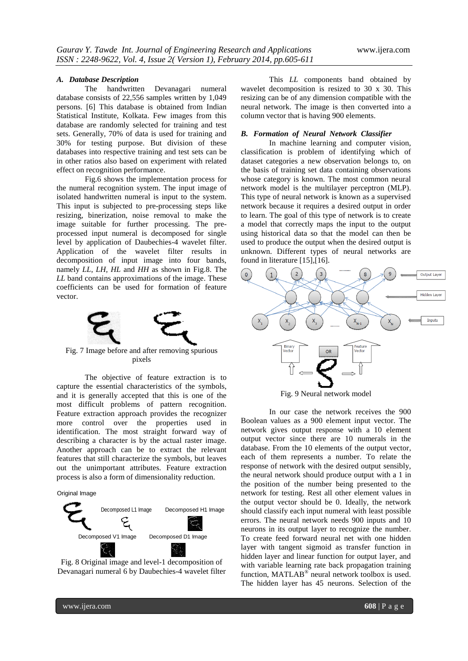#### *A. Database Description*

The handwritten Devanagari numeral database consists of 22,556 samples written by 1,049 persons. [6] This database is obtained from Indian Statistical Institute, Kolkata. Few images from this database are randomly selected for training and test sets. Generally, 70% of data is used for training and 30% for testing purpose. But division of these databases into respective training and test sets can be in other ratios also based on experiment with related effect on recognition performance.

Fig.6 shows the implementation process for the numeral recognition system. The input image of isolated handwritten numeral is input to the system. This input is subjected to pre-processing steps like resizing, binerization, noise removal to make the image suitable for further processing. The preprocessed input numeral is decomposed for single level by application of Daubechies-4 wavelet filter. Application of the wavelet filter results in decomposition of input image into four bands, namely *LL*, *LH, HL* and *HH* as shown in Fig.8. The *LL* band contains approximations of the image. These coefficients can be used for formation of feature vector.



Fig. 7 Image before and after removing spurious pixels

The objective of feature extraction is to capture the essential characteristics of the symbols, and it is generally accepted that this is one of the most difficult problems of pattern recognition. Feature extraction approach provides the recognizer more control over the properties used in identification. The most straight forward way of describing a character is by the actual raster image. Another approach can be to extract the relevant features that still characterize the symbols, but leaves out the unimportant attributes. Feature extraction process is also a form of dimensionality reduction.

Original Image





This *LL* components band obtained by wavelet decomposition is resized to 30 x 30. This resizing can be of any dimension compatible with the neural network. The image is then converted into a column vector that is having 900 elements.

#### *B. Formation of Neural Network Classifier*

In machine learning and computer vision, classification is problem of identifying which of dataset categories a new observation belongs to, on the basis of training set data containing observations whose category is known. The most common neural network model is the multilayer perceptron (MLP). This type of neural network is known as a supervised network because it requires a desired output in order to learn. The goal of this type of network is to create a model that correctly maps the input to the output using historical data so that the model can then be used to produce the output when the desired output is unknown. Different types of neural networks are found in literature [15],[16].



Fig. 9 Neural network model

In our case the network receives the 900 Boolean values as a 900 element input vector. The network gives output response with a 10 element output vector since there are 10 numerals in the database. From the 10 elements of the output vector, each of them represents a number. To relate the response of network with the desired output sensibly, the neural network should produce output with a 1 in the position of the number being presented to the network for testing. Rest all other element values in the output vector should be 0. Ideally, the network should classify each input numeral with least possible errors. The neural network needs 900 inputs and 10 neurons in its output layer to recognize the number. To create feed forward neural net with one hidden layer with tangent sigmoid as transfer function in hidden layer and linear function for output layer, and with variable learning rate back propagation training function, MATLAB<sup>®</sup> neural network toolbox is used. The hidden layer has 45 neurons. Selection of the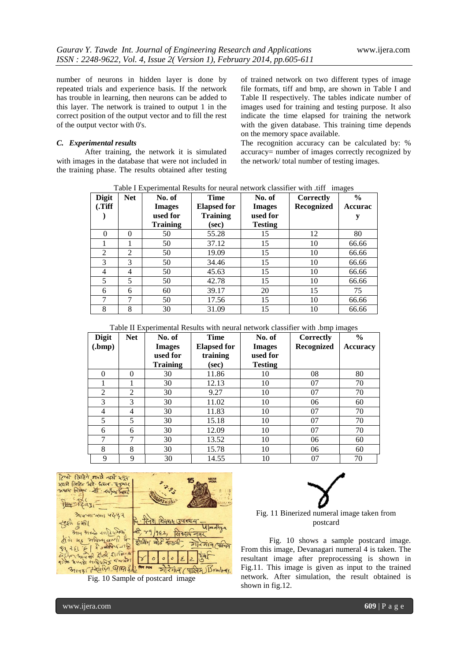number of neurons in hidden layer is done by repeated trials and experience basis. If the network has trouble in learning, then neurons can be added to this layer. The network is trained to output 1 in the correct position of the output vector and to fill the rest of the output vector with 0's.

#### *C. Experimental results*

After training, the network it is simulated with images in the database that were not included in the training phase. The results obtained after testing

of trained network on two different types of image file formats, tiff and bmp, are shown in Table I and Table II respectively. The tables indicate number of images used for training and testing purpose. It also indicate the time elapsed for training the network with the given database. This training time depends on the memory space available.

The recognition accuracy can be calculated by: % accuracy= number of images correctly recognized by the network/ total number of testing images.

| <b>Digit</b> | <b>Net</b> | No. of          | <b>Time</b>        | No. of         | Correctly  | $\frac{6}{9}$  |
|--------------|------------|-----------------|--------------------|----------------|------------|----------------|
| (Tiff)       |            | <b>Images</b>   | <b>Elapsed for</b> | <b>Images</b>  | Recognized | <b>Accurac</b> |
|              |            | used for        | <b>Training</b>    | used for       |            |                |
|              |            | <b>Training</b> | (sec)              | <b>Testing</b> |            |                |
| 0            | $\theta$   | 50              | 55.28              | 15             | 12         | 80             |
|              |            | 50              | 37.12              | 15             | 10         | 66.66          |
| 2            | 2          | 50              | 19.09              | 15             | 10         | 66.66          |
| 3            | 3          | 50              | 34.46              | 15             | 10         | 66.66          |
| 4            | 4          | 50              | 45.63              | 15             | 10         | 66.66          |
| 5            | 5          | 50              | 42.78              | 15             | 10         | 66.66          |
| 6            | 6          | 60              | 39.17              | 20             | 15         | 75             |
|              | 7          | 50              | 17.56              | 15             | 10         | 66.66          |
| 8            | 8          | 30              | 31.09              | 15             | 10         | 66.66          |

Table I Experimental Results for neural network classifier with .tiff images

| Table II Experimental Results with neural network classifier with .bmp images |  |  |  |  |
|-------------------------------------------------------------------------------|--|--|--|--|
|                                                                               |  |  |  |  |

| <b>Digit</b><br>$(\mathbf{bmp})$ | <b>Net</b> | No. of<br><b>Images</b><br>used for<br><b>Training</b> | <b>Time</b><br><b>Elapsed for</b><br>training<br>(sec) | No. of<br><b>Images</b><br>used for<br><b>Testing</b> | Correctly<br>Recognized | $\frac{0}{0}$<br><b>Accuracy</b> |
|----------------------------------|------------|--------------------------------------------------------|--------------------------------------------------------|-------------------------------------------------------|-------------------------|----------------------------------|
| $\Omega$                         | $\theta$   | 30                                                     | 11.86                                                  | 10                                                    | 08                      | 80                               |
|                                  |            | 30                                                     | 12.13                                                  | 10                                                    | 07                      | 70                               |
| $\overline{2}$                   | 2          | 30                                                     | 9.27                                                   | 10                                                    | 07                      | 70                               |
| 3                                | 3          | 30                                                     | 11.02                                                  | 10                                                    | 06                      | 60                               |
| 4                                | 4          | 30                                                     | 11.83                                                  | 10                                                    | 07                      | 70                               |
| 5                                | 5          | 30                                                     | 15.18                                                  | 10                                                    | 07                      | 70                               |
| 6                                | 6          | 30                                                     | 12.09                                                  | 10                                                    | 07                      | 70                               |
| 7                                | 7          | 30                                                     | 13.52                                                  | 10                                                    | 06                      | 60                               |
| 8                                | 8          | 30                                                     | 15.78                                                  | 10                                                    | 06                      | 60                               |
| 9                                | 9          | 30                                                     | 14.55                                                  | 10                                                    | 07                      | 70                               |







### Fig. 11 Binerized numeral image taken from postcard

Fig. 10 shows a sample postcard image. From this image, Devanagari numeral 4 is taken. The resultant image after preprocessing is shown in Fig.11. This image is given as input to the trained network. After simulation, the result obtained is shown in fig.12.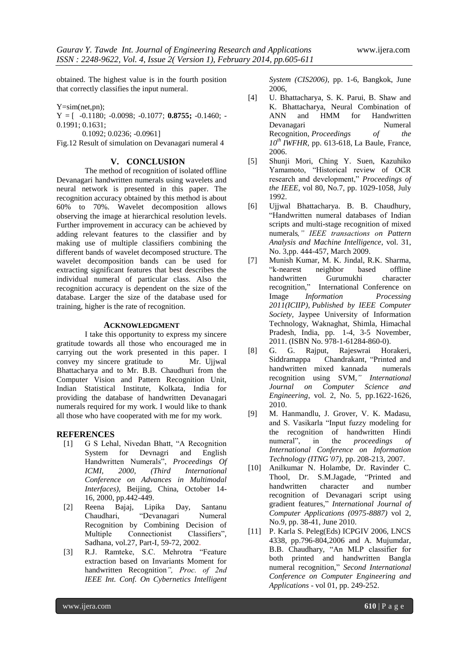obtained. The highest value is in the fourth position that correctly classifies the input numeral.

Y=sim(net,pn);

Y = [ -0.1180; -0.0098; -0.1077; **0.8755;** -0.1460; -

0.1991; 0.1631;

0.1092; 0.0236; -0.0961]

Fig.12 Result of simulation on Devanagari numeral 4

### **V. CONCLUSION**

The method of recognition of isolated offline Devanagari handwritten numerals using wavelets and neural network is presented in this paper. The recognition accuracy obtained by this method is about 60% to 70%. Wavelet decomposition allows observing the image at hierarchical resolution levels. Further improvement in accuracy can be achieved by adding relevant features to the classifier and by making use of multiple classifiers combining the different bands of wavelet decomposed structure. The wavelet decomposition bands can be used for extracting significant features that best describes the individual numeral of particular class. Also the recognition accuracy is dependent on the size of the database. Larger the size of the database used for training, higher is the rate of recognition.

### **ACKNOWLEDGMENT**

I take this opportunity to express my sincere gratitude towards all those who encouraged me in carrying out the work presented in this paper. I convey my sincere gratitude to Mr. Ujjwal Bhattacharya and to Mr. B.B. Chaudhuri from the Computer Vision and Pattern Recognition Unit, Indian Statistical Institute, Kolkata, India for providing the database of handwritten Devanagari numerals required for my work. I would like to thank all those who have cooperated with me for my work.

# **REFERENCES**

- [1] G S Lehal, Nivedan Bhatt, "A Recognition System for Devnagri and English Handwritten Numerals", *Proceedings Of ICMI, 2000, (Third International Conference on Advances in Multimodal Interfaces),* Beijing, China, October 14- 16, 2000, pp.442-449.
- [2] Reena Bajaj, Lipika Day, Santanu Chaudhari, "Devanagari Numeral Recognition by Combining Decision of Multiple Connectionist Classifiers", Sadhana, vol.27, Part-I, 59-72, 2002.
- [3] R.J. Ramteke, S.C. Mehrotra "Feature extraction based on Invariants Moment for handwritten Recognition*", Proc. of 2nd IEEE Int. Conf. On Cybernetics Intelligent*

*System (CIS2006)*, pp. 1-6, Bangkok, June 2006,

- [4] U. Bhattacharya, S. K. Parui, B. Shaw and K. Bhattacharya, Neural Combination of ANN and HMM for Handwritten<br>Devanagari Numeral Devanagari Recognition*, Proceedings of the 10th IWFHR*, pp. 613-618, La Baule, France, 2006.
- [5] Shunji Mori, Ching Y. Suen, Kazuhiko Yamamoto, "Historical review of OCR research and development," *Proceedings of the IEEE*, vol 80, No.7, pp. 1029-1058, July 1992.
- [6] Ujjwal Bhattacharya. B. B. Chaudhury, "Handwritten numeral databases of Indian scripts and multi-stage recognition of mixed numerals*," IEEE transactions on Pattern Analysis and Machine Intelligence*, vol. 31, No. 3,pp. 444-457, March 2009.
- [7] Munish Kumar, M. K. Jindal, R.K. Sharma, "k-nearest neighbor based offline handwritten Gurumukhi character recognition," International Conference on Image *Information Processing 2011(ICIIP), Published by IEEE Computer Society,* Jaypee University of Information Technology, Waknaghat, Shimla, Himachal Pradesh, India, pp. 1-4, 3-5 November, 2011. (ISBN No. 978-1-61284-860-0).
- [8] G. G. Rajput, Rajeswrai Horakeri, Siddramappa Chandrakant, "Printed and handwritten mixed kannada numerals recognition using SVM*," International Journal on Computer Science and Engineering*, vol. 2, No. 5, pp.1622-1626, 2010.
- [9] M. Hanmandlu, J. Grover, V. K. Madasu, and S. Vasikarla "Input fuzzy modeling for the recognition of handwritten Hindi numeral", in the *proceedings of International Conference on Information Technology (ITNG'07),* pp. 208-213, 2007.
- [10] Anilkumar N. Holambe, Dr. Ravinder C. Thool, Dr. S.M.Jagade, "Printed and handwritten character and number recognition of Devanagari script using gradient features," *International Journal of Computer Applications (0975-8887)* vol 2, No.9, pp. 38-41, June 2010.
- [11] P. Karla S. Peleg(Eds) ICPGIV 2006, LNCS 4338, pp.796-804,2006 and A. Mujumdar, B.B. Chaudhary, "An MLP classifier for both printed and handwritten Bangla numeral recognition," *Second International Conference on Computer Engineering and Applications* - vol 01, pp. 249-252.